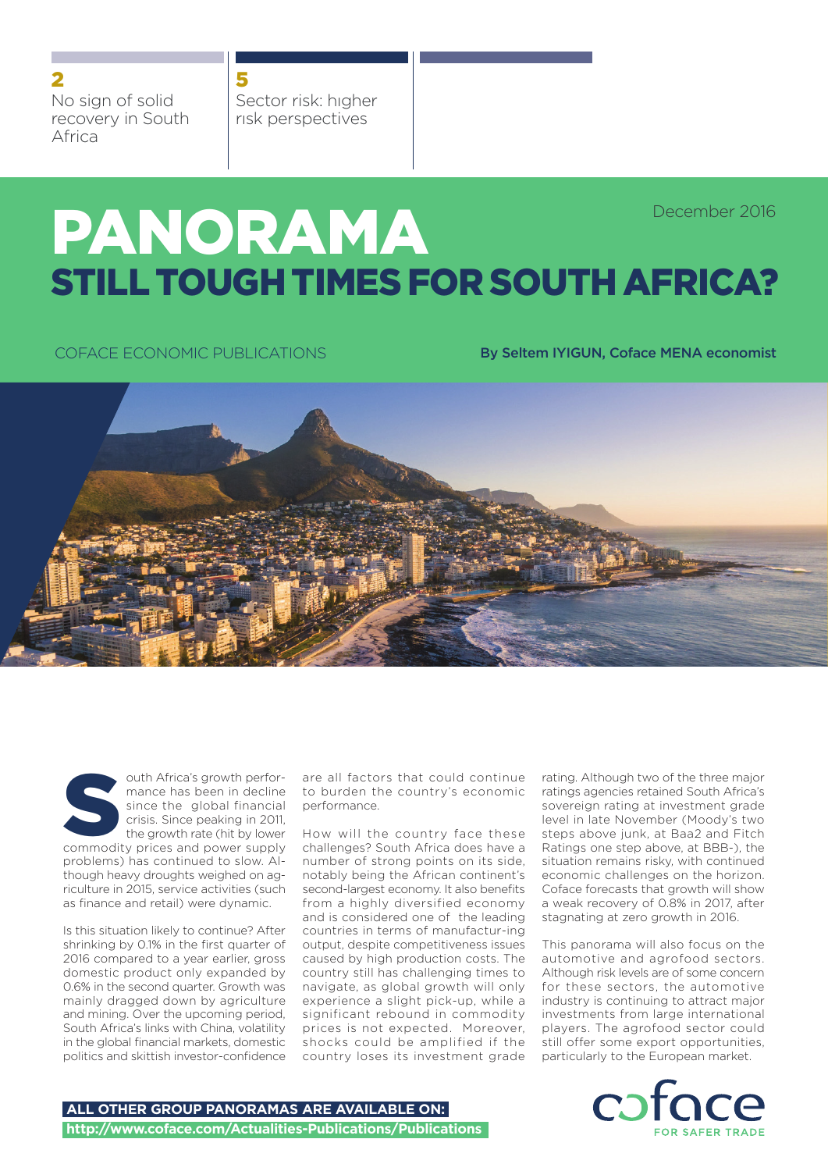2

No sign of solid recovery in South Africa

Sector risk: hıgher rısk perspectives 5

# PANORAMA STILL TOUGH TIMES FOR SOUTH AFRICA? December 2016

COFACE ECONOMIC PUBLICATIONS **By Seltem IYIGUN, Coface MENA economist** 



outh Africa's growth performance has been in decline since the global financial crisis. Since peaking in 2011, the growth rate (hit by lower outh Africa's growth performance has been in decline<br>since the global financial<br>crisis. Since peaking in 2011,<br>the growth rate (hit by lower<br>commodity prices and power supply problems) has continued to slow. Although heavy droughts weighed on agriculture in 2015, service activities (such as finance and retail) were dynamic.

Is this situation likely to continue? After shrinking by 0.1% in the first quarter of 2016 compared to a year earlier, gross domestic product only expanded by 0.6% in the second quarter. Growth was mainly dragged down by agriculture and mining. Over the upcoming period, South Africa's links with China, volatility in the global financial markets, domestic politics and skittish investor-confidence are all factors that could continue to burden the country's economic performance.

How will the country face these challenges? South Africa does have a number of strong points on its side, notably being the African continent's second-largest economy. It also benefits from a highly diversified economy and is considered one of the leading countries in terms of manufactur-ing output, despite competitiveness issues caused by high production costs. The country still has challenging times to navigate, as global growth will only experience a slight pick-up, while a significant rebound in commodity prices is not expected. Moreover, shocks could be amplified if the country loses its investment grade

rating. Although two of the three major ratings agencies retained South Africa's sovereign rating at investment grade level in late November (Moody's two steps above junk, at Baa2 and Fitch Ratings one step above, at BBB-), the situation remains risky, with continued economic challenges on the horizon. Coface forecasts that growth will show a weak recovery of 0.8% in 2017, after stagnating at zero growth in 2016.

This panorama will also focus on the automotive and agrofood sectors. Although risk levels are of some concern for these sectors, the automotive industry is continuing to attract major investments from large international players. The agrofood sector could still offer some export opportunities, particularly to the European market.

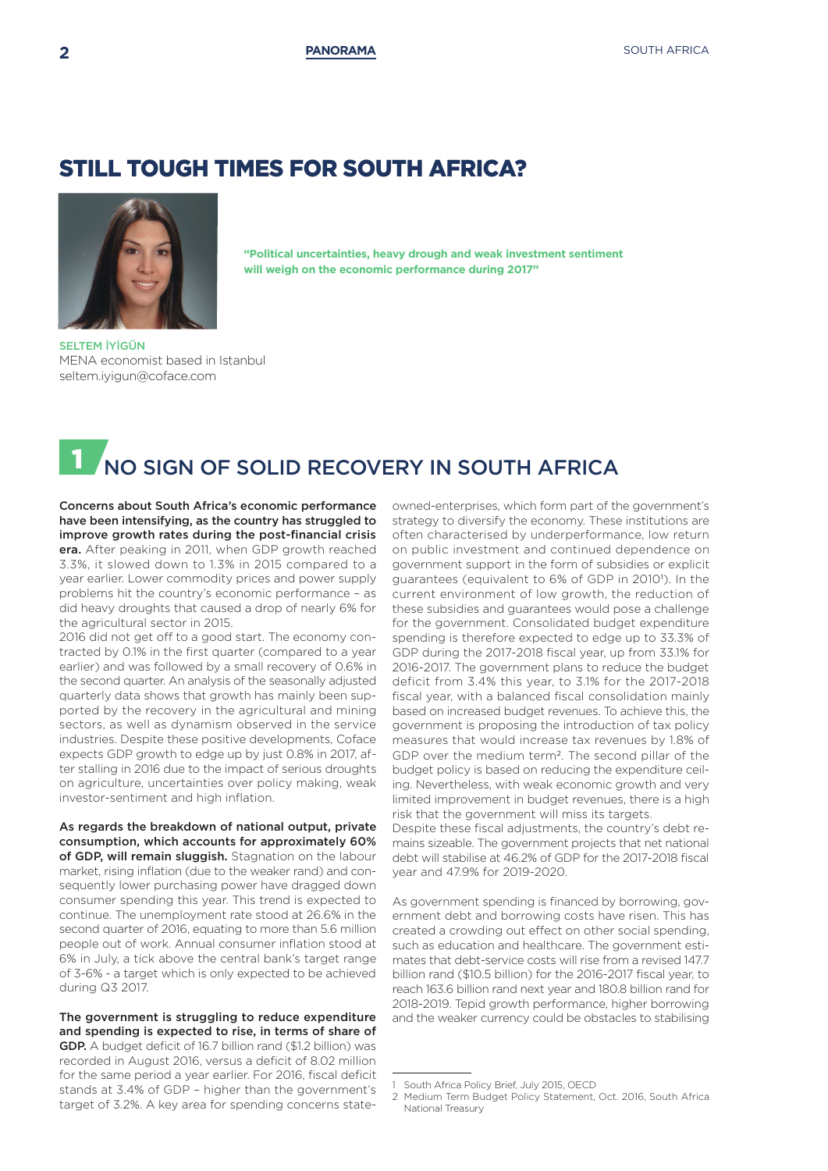### STILL TOUGH TIMES FOR SOUTH AFRICA?



**"Political uncertainties, heavy drough and weak investment sentiment will weigh on the economic performance during 2017"**

SELTEM İYİGÜN MENA economist based in Istanbul seltem.iyigun@coface.com

## NO SIGN OF SOLID RECOVERY IN SOUTH AFRICA

Concerns about South Africa's economic performance have been intensifying, as the country has struggled to improve growth rates during the post-financial crisis era. After peaking in 2011, when GDP growth reached 3.3%, it slowed down to 1.3% in 2015 compared to a year earlier. Lower commodity prices and power supply problems hit the country's economic performance – as did heavy droughts that caused a drop of nearly 6% for the agricultural sector in 2015.

2016 did not get off to a good start. The economy contracted by 0.1% in the first quarter (compared to a year earlier) and was followed by a small recovery of 0.6% in the second quarter. An analysis of the seasonally adjusted quarterly data shows that growth has mainly been supported by the recovery in the agricultural and mining sectors, as well as dynamism observed in the service industries. Despite these positive developments, Coface expects GDP growth to edge up by just 0.8% in 2017, after stalling in 2016 due to the impact of serious droughts on agriculture, uncertainties over policy making, weak investor-sentiment and high inflation.

As regards the breakdown of national output, private consumption, which accounts for approximately 60% of GDP, will remain sluggish. Stagnation on the labour market, rising inflation (due to the weaker rand) and consequently lower purchasing power have dragged down consumer spending this year. This trend is expected to continue. The unemployment rate stood at 26.6% in the second quarter of 2016, equating to more than 5.6 million people out of work. Annual consumer inflation stood at 6% in July, a tick above the central bank's target range of 3-6% - a target which is only expected to be achieved during Q3 2017.

The government is struggling to reduce expenditure and spending is expected to rise, in terms of share of

GDP. A budget deficit of 16.7 billion rand (\$1.2 billion) was recorded in August 2016, versus a deficit of 8.02 million for the same period a year earlier. For 2016, fiscal deficit stands at 3.4% of GDP – higher than the government's target of 3.2%. A key area for spending concerns stateowned-enterprises, which form part of the government's strategy to diversify the economy. These institutions are often characterised by underperformance, low return on public investment and continued dependence on government support in the form of subsidies or explicit guarantees (equivalent to 6% of GDP in 2010<sup>1</sup>). In the current environment of low growth, the reduction of these subsidies and guarantees would pose a challenge for the government. Consolidated budget expenditure spending is therefore expected to edge up to 33.3% of GDP during the 2017-2018 fiscal year, up from 33.1% for 2016-2017. The government plans to reduce the budget deficit from 3.4% this year, to 3.1% for the 2017-2018 fiscal year, with a balanced fiscal consolidation mainly based on increased budget revenues. To achieve this, the government is proposing the introduction of tax policy measures that would increase tax revenues by 1.8% of GDP over the medium term2. The second pillar of the budget policy is based on reducing the expenditure ceiling. Nevertheless, with weak economic growth and very limited improvement in budget revenues, there is a high risk that the government will miss its targets.

Despite these fiscal adjustments, the country's debt remains sizeable. The government projects that net national debt will stabilise at 46.2% of GDP for the 2017-2018 fiscal year and 47.9% for 2019-2020.

As government spending is financed by borrowing, government debt and borrowing costs have risen. This has created a crowding out effect on other social spending, such as education and healthcare. The government estimates that debt-service costs will rise from a revised 147.7 billion rand (\$10.5 billion) for the 2016-2017 fiscal year, to reach 163.6 billion rand next year and 180.8 billion rand for 2018-2019. Tepid growth performance, higher borrowing and the weaker currency could be obstacles to stabilising

South Africa Policy Brief, July 2015, OECD

<sup>2</sup> Medium Term Budget Policy Statement, Oct. 2016, South Africa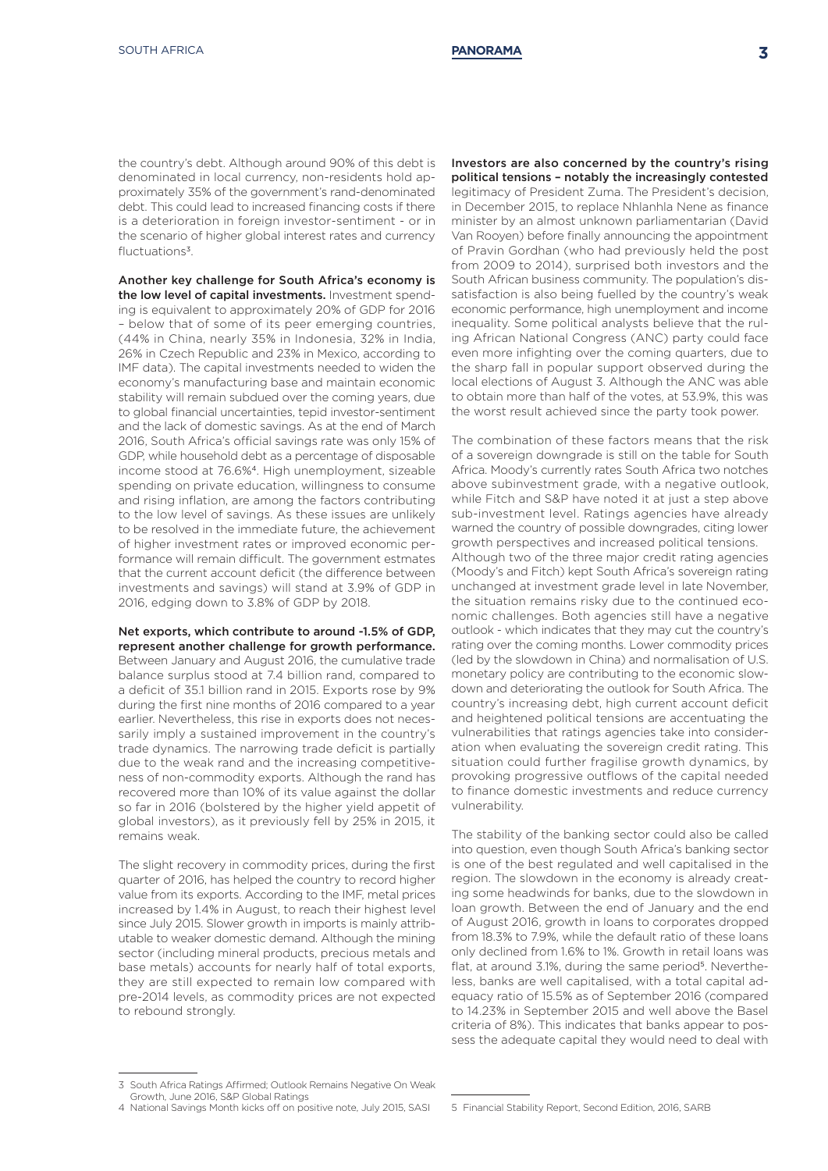the country's debt. Although around 90% of this debt is denominated in local currency, non-residents hold approximately 35% of the government's rand-denominated debt. This could lead to increased financing costs if there is a deterioration in foreign investor-sentiment - or in the scenario of higher global interest rates and currency fluctuations<sup>3</sup>.

Another key challenge for South Africa's economy is the low level of capital investments. Investment spending is equivalent to approximately 20% of GDP for 2016 – below that of some of its peer emerging countries, (44% in China, nearly 35% in Indonesia, 32% in India, 26% in Czech Republic and 23% in Mexico, according to IMF data). The capital investments needed to widen the economy's manufacturing base and maintain economic stability will remain subdued over the coming years, due to global financial uncertainties, tepid investor-sentiment and the lack of domestic savings. As at the end of March 2016, South Africa's official savings rate was only 15% of GDP, while household debt as a percentage of disposable income stood at 76.6%4. High unemployment, sizeable spending on private education, willingness to consume and rising inflation, are among the factors contributing to the low level of savings. As these issues are unlikely to be resolved in the immediate future, the achievement of higher investment rates or improved economic performance will remain difficult. The government estmates that the current account deficit (the difference between investments and savings) will stand at 3.9% of GDP in 2016, edging down to 3.8% of GDP by 2018.

Net exports, which contribute to around -1.5% of GDP, represent another challenge for growth performance. Between January and August 2016, the cumulative trade balance surplus stood at 7.4 billion rand, compared to a deficit of 35.1 billion rand in 2015. Exports rose by 9% during the first nine months of 2016 compared to a year earlier. Nevertheless, this rise in exports does not necessarily imply a sustained improvement in the country's trade dynamics. The narrowing trade deficit is partially due to the weak rand and the increasing competitiveness of non-commodity exports. Although the rand has recovered more than 10% of its value against the dollar so far in 2016 (bolstered by the higher yield appetit of global investors), as it previously fell by 25% in 2015, it remains weak.

The slight recovery in commodity prices, during the first quarter of 2016, has helped the country to record higher value from its exports. According to the IMF, metal prices increased by 1.4% in August, to reach their highest level since July 2015. Slower growth in imports is mainly attributable to weaker domestic demand. Although the mining sector (including mineral products, precious metals and base metals) accounts for nearly half of total exports, they are still expected to remain low compared with pre-2014 levels, as commodity prices are not expected to rebound strongly.

Investors are also concerned by the country's rising political tensions – notably the increasingly contested legitimacy of President Zuma. The President's decision, in December 2015, to replace Nhlanhla Nene as finance minister by an almost unknown parliamentarian (David Van Rooyen) before finally announcing the appointment of Pravin Gordhan (who had previously held the post from 2009 to 2014), surprised both investors and the South African business community. The population's dissatisfaction is also being fuelled by the country's weak economic performance, high unemployment and income inequality. Some political analysts believe that the ruling African National Congress (ANC) party could face even more infighting over the coming quarters, due to the sharp fall in popular support observed during the local elections of August 3. Although the ANC was able to obtain more than half of the votes, at 53.9%, this was the worst result achieved since the party took power.

The combination of these factors means that the risk of a sovereign downgrade is still on the table for South Africa. Moody's currently rates South Africa two notches above subinvestment grade, with a negative outlook. while Fitch and S&P have noted it at just a step above sub-investment level. Ratings agencies have already warned the country of possible downgrades, citing lower growth perspectives and increased political tensions. Although two of the three major credit rating agencies (Moody's and Fitch) kept South Africa's sovereign rating unchanged at investment grade level in late November, the situation remains risky due to the continued economic challenges. Both agencies still have a negative outlook - which indicates that they may cut the country's rating over the coming months. Lower commodity prices (led by the slowdown in China) and normalisation of U.S. monetary policy are contributing to the economic slowdown and deteriorating the outlook for South Africa. The country's increasing debt, high current account deficit and heightened political tensions are accentuating the vulnerabilities that ratings agencies take into consideration when evaluating the sovereign credit rating. This situation could further fragilise growth dynamics, by provoking progressive outflows of the capital needed to finance domestic investments and reduce currency vulnerability.

The stability of the banking sector could also be called into question, even though South Africa's banking sector is one of the best regulated and well capitalised in the region. The slowdown in the economy is already creating some headwinds for banks, due to the slowdown in loan growth. Between the end of January and the end of August 2016, growth in loans to corporates dropped from 18.3% to 7.9%, while the default ratio of these loans only declined from 1.6% to 1%. Growth in retail loans was flat, at around 3.1%, during the same period<sup>5</sup>. Nevertheless, banks are well capitalised, with a total capital adequacy ratio of 15.5% as of September 2016 (compared to 14.23% in September 2015 and well above the Basel criteria of 8%). This indicates that banks appear to possess the adequate capital they would need to deal with

<sup>3</sup> South Africa Ratings Affirmed; Outlook Remains Negative On Weak Growth, June 2016, S&P Global Ratings

<sup>4</sup> National Savings Month kicks off on positive note, July 2015, SASI 5 Financial Stability Report, Second Edition, 2016, SARB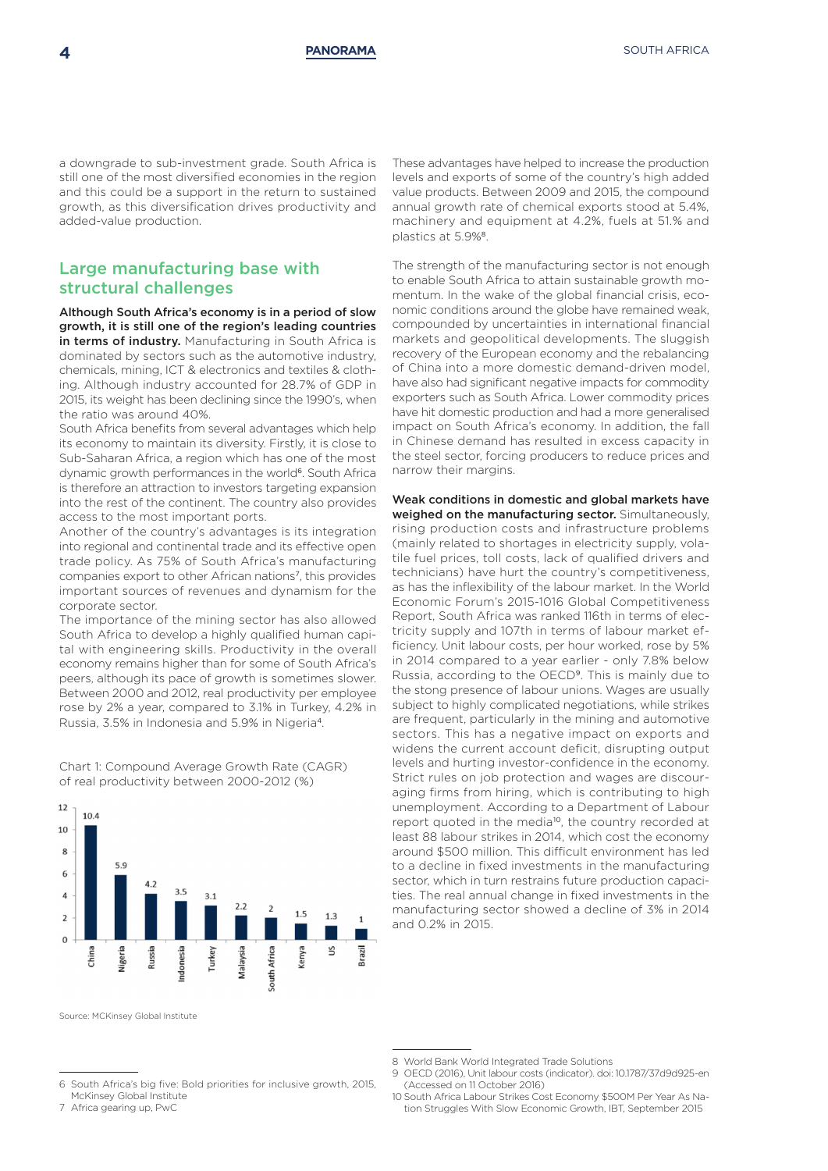a downgrade to sub-investment grade. South Africa is still one of the most diversified economies in the region and this could be a support in the return to sustained growth, as this diversification drives productivity and added-value production.

### Large manufacturing base with structural challenges

Although South Africa's economy is in a period of slow growth, it is still one of the region's leading countries in terms of industry. Manufacturing in South Africa is dominated by sectors such as the automotive industry, chemicals, mining, ICT & electronics and textiles & clothing. Although industry accounted for 28.7% of GDP in 2015, its weight has been declining since the 1990's, when the ratio was around 40%.

South Africa benefits from several advantages which help its economy to maintain its diversity. Firstly, it is close to Sub-Saharan Africa, a region which has one of the most dynamic growth performances in the world<sup>6</sup>. South Africa is therefore an attraction to investors targeting expansion into the rest of the continent. The country also provides access to the most important ports.

Another of the country's advantages is its integration into regional and continental trade and its effective open trade policy. As 75% of South Africa's manufacturing companies export to other African nations7, this provides important sources of revenues and dynamism for the corporate sector.

The importance of the mining sector has also allowed South Africa to develop a highly qualified human capital with engineering skills. Productivity in the overall economy remains higher than for some of South Africa's peers, although its pace of growth is sometimes slower. Between 2000 and 2012, real productivity per employee rose by 2% a year, compared to 3.1% in Turkey, 4.2% in Russia, 3.5% in Indonesia and 5.9% in Nigeria4.

Chart 1: Compound Average Growth Rate (CAGR) of real productivity between 2000-2012 (%)



These advantages have helped to increase the production levels and exports of some of the country's high added value products. Between 2009 and 2015, the compound annual growth rate of chemical exports stood at 5.4%, machinery and equipment at 4.2%, fuels at 51.% and plastics at 5.9%<sup>8</sup>.

The strength of the manufacturing sector is not enough to enable South Africa to attain sustainable growth momentum. In the wake of the global financial crisis, economic conditions around the globe have remained weak, compounded by uncertainties in international financial markets and geopolitical developments. The sluggish recovery of the European economy and the rebalancing of China into a more domestic demand-driven model, have also had significant negative impacts for commodity exporters such as South Africa. Lower commodity prices have hit domestic production and had a more generalised impact on South Africa's economy. In addition, the fall in Chinese demand has resulted in excess capacity in the steel sector, forcing producers to reduce prices and narrow their margins.

Weak conditions in domestic and global markets have weighed on the manufacturing sector. Simultaneously, rising production costs and infrastructure problems (mainly related to shortages in electricity supply, volatile fuel prices, toll costs, lack of qualified drivers and technicians) have hurt the country's competitiveness, as has the inflexibility of the labour market. In the World Economic Forum's 2015-1016 Global Competitiveness Report, South Africa was ranked 116th in terms of electricity supply and 107th in terms of labour market efficiency. Unit labour costs, per hour worked, rose by 5% in 2014 compared to a year earlier - only 7.8% below Russia, according to the OECD9. This is mainly due to the stong presence of labour unions. Wages are usually subject to highly complicated negotiations, while strikes are frequent, particularly in the mining and automotive sectors. This has a negative impact on exports and widens the current account deficit, disrupting output levels and hurting investor-confidence in the economy. Strict rules on job protection and wages are discouraging firms from hiring, which is contributing to high unemployment. According to a Department of Labour report quoted in the media<sup>10</sup>, the country recorded at least 88 labour strikes in 2014, which cost the economy around \$500 million. This difficult environment has led to a decline in fixed investments in the manufacturing sector, which in turn restrains future production capacities. The real annual change in fixed investments in the manufacturing sector showed a decline of 3% in 2014 and 0.2% in 2015.

6 South Africa's big five: Bold priorities for inclusive growth, 2015, McKinsey Global Institute

Source: MCKinsey Global Institute

<sup>8</sup> World Bank World Integrated Trade Solutions

<sup>7</sup> Africa gearing up, PwC

<sup>9</sup> OECD (2016), Unit labour costs (indicator). doi: 10.1787/37d9d925-en (Accessed on 11 October 2016)

<sup>10</sup> South Africa Labour Strikes Cost Economy \$500M Per Year As Nation Struggles With Slow Economic Growth, IBT, September 2015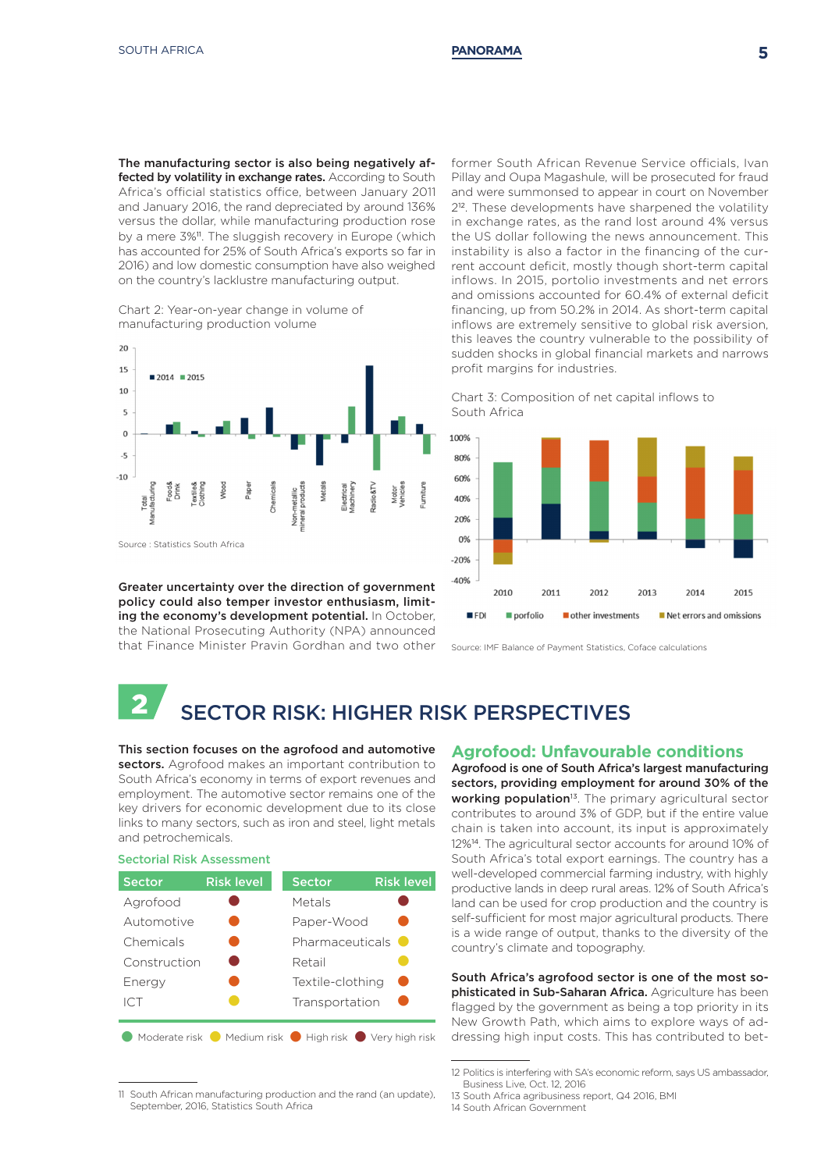The manufacturing sector is also being negatively affected by volatility in exchange rates. According to South Africa's official statistics office, between January 2011 and January 2016, the rand depreciated by around 136% versus the dollar, while manufacturing production rose by a mere 3%<sup>11</sup>. The sluggish recovery in Europe (which has accounted for 25% of South Africa's exports so far in 2016) and low domestic consumption have also weighed on the country's lacklustre manufacturing output.

Chart 2: Year-on-year change in volume of manufacturing production volume



Greater uncertainty over the direction of government policy could also temper investor enthusiasm, limiting the economy's development potential. In October, the National Prosecuting Authority (NPA) announced that Finance Minister Pravin Gordhan and two other

former South African Revenue Service officials, Ivan Pillay and Oupa Magashule, will be prosecuted for fraud and were summonsed to appear in court on November 212. These developments have sharpened the volatility in exchange rates, as the rand lost around 4% versus the US dollar following the news announcement. This instability is also a factor in the financing of the current account deficit, mostly though short-term capital inflows. In 2015, portolio investments and net errors and omissions accounted for 60.4% of external deficit financing, up from 50.2% in 2014. As short-term capital inflows are extremely sensitive to global risk aversion, this leaves the country vulnerable to the possibility of sudden shocks in global financial markets and narrows profit margins for industries.





Source: IMF Balance of Payment Statistics, Coface calculations

# 2 SECTOR RISK: HIGHER RISK PERSPECTIVES

#### This section focuses on the agrofood and automotive sectors. Agrofood makes an important contribution to

South Africa's economy in terms of export revenues and employment. The automotive sector remains one of the key drivers for economic development due to its close links to many sectors, such as iron and steel, light metals and petrochemicals.

Sectorial Risk Assessment

| <b>Sector</b> | <b>Risk level</b>     | <b>Sector</b>    | <b>Risk level</b>          |
|---------------|-----------------------|------------------|----------------------------|
| Agrofood      |                       | Metals           |                            |
| Automotive    |                       | Paper-Wood       |                            |
| Chemicals     |                       | Pharmaceuticals  |                            |
| Construction  |                       | Retail           |                            |
| Energy        |                       | Textile-clothing |                            |
| ICT           |                       | Transportation   |                            |
| Moderate risk | Medium risk $\bullet$ |                  | High risk ● Very high risk |

### **Agrofood: Unfavourable conditions**

Agrofood is one of South Africa's largest manufacturing sectors, providing employment for around 30% of the working population<sup>13</sup>. The primary agricultural sector contributes to around 3% of GDP, but if the entire value chain is taken into account, its input is approximately 12%14. The agricultural sector accounts for around 10% of South Africa's total export earnings. The country has a well-developed commercial farming industry, with highly productive lands in deep rural areas. 12% of South Africa's land can be used for crop production and the country is self-sufficient for most major agricultural products. There is a wide range of output, thanks to the diversity of the country's climate and topography.

South Africa's agrofood sector is one of the most sophisticated in Sub-Saharan Africa. Agriculture has been flagged by the government as being a top priority in its New Growth Path, which aims to explore ways of addressing high input costs. This has contributed to bet-

<sup>11</sup> South African manufacturing production and the rand (an update), September, 2016, Statistics South Africa

<sup>12</sup> Politics is interfering with SA's economic reform, says US ambassador, Business Live, Oct. 12, 2016

<sup>13</sup> South Africa agribusiness report, Q4 2016, BMI

<sup>14</sup> South African Government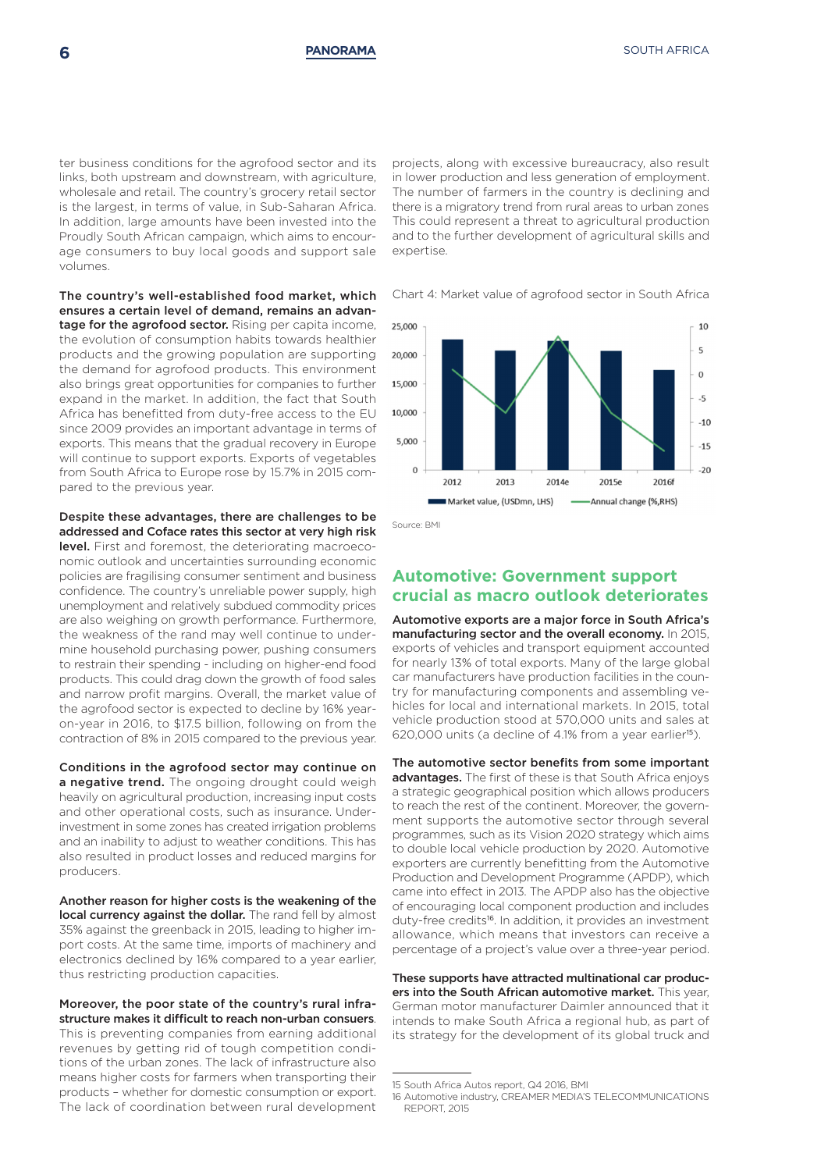ter business conditions for the agrofood sector and its links, both upstream and downstream, with agriculture, wholesale and retail. The country's grocery retail sector is the largest, in terms of value, in Sub-Saharan Africa. In addition, large amounts have been invested into the Proudly South African campaign, which aims to encourage consumers to buy local goods and support sale volumes.

The country's well-established food market, which ensures a certain level of demand, remains an advantage for the agrofood sector. Rising per capita income, the evolution of consumption habits towards healthier products and the growing population are supporting the demand for agrofood products. This environment also brings great opportunities for companies to further expand in the market. In addition, the fact that South Africa has benefitted from duty-free access to the EU since 2009 provides an important advantage in terms of exports. This means that the gradual recovery in Europe will continue to support exports. Exports of vegetables from South Africa to Europe rose by 15.7% in 2015 compared to the previous year.

Despite these advantages, there are challenges to be addressed and Coface rates this sector at very high risk

level. First and foremost, the deteriorating macroeconomic outlook and uncertainties surrounding economic policies are fragilising consumer sentiment and business confidence. The country's unreliable power supply, high unemployment and relatively subdued commodity prices are also weighing on growth performance. Furthermore, the weakness of the rand may well continue to undermine household purchasing power, pushing consumers to restrain their spending - including on higher-end food products. This could drag down the growth of food sales and narrow profit margins. Overall, the market value of the agrofood sector is expected to decline by 16% yearon-year in 2016, to \$17.5 billion, following on from the contraction of 8% in 2015 compared to the previous year.

Conditions in the agrofood sector may continue on a negative trend. The ongoing drought could weigh heavily on agricultural production, increasing input costs and other operational costs, such as insurance. Underinvestment in some zones has created irrigation problems and an inability to adjust to weather conditions. This has also resulted in product losses and reduced margins for producers.

Another reason for higher costs is the weakening of the local currency against the dollar. The rand fell by almost 35% against the greenback in 2015, leading to higher import costs. At the same time, imports of machinery and electronics declined by 16% compared to a year earlier, thus restricting production capacities.

Moreover, the poor state of the country's rural infrastructure makes it difficult to reach non-urban consuers.

This is preventing companies from earning additional revenues by getting rid of tough competition conditions of the urban zones. The lack of infrastructure also means higher costs for farmers when transporting their products – whether for domestic consumption or export. The lack of coordination between rural development

projects, along with excessive bureaucracy, also result in lower production and less generation of employment. The number of farmers in the country is declining and there is a migratory trend from rural areas to urban zones This could represent a threat to agricultural production and to the further development of agricultural skills and expertise.

Chart 4: Market value of agrofood sector in South Africa



Source: BMI

### **Automotive: Government support crucial as macro outlook deteriorates**

Automotive exports are a major force in South Africa's manufacturing sector and the overall economy. In 2015, exports of vehicles and transport equipment accounted for nearly 13% of total exports. Many of the large global car manufacturers have production facilities in the country for manufacturing components and assembling vehicles for local and international markets. In 2015, total vehicle production stood at 570,000 units and sales at 620,000 units (a decline of 4.1% from a year earlier<sup>15</sup>).

The automotive sector benefits from some important advantages. The first of these is that South Africa enjoys a strategic geographical position which allows producers to reach the rest of the continent. Moreover, the government supports the automotive sector through several programmes, such as its Vision 2020 strategy which aims to double local vehicle production by 2020. Automotive exporters are currently benefitting from the Automotive Production and Development Programme (APDP), which came into effect in 2013. The APDP also has the objective of encouraging local component production and includes duty-free credits<sup>16</sup>. In addition, it provides an investment allowance, which means that investors can receive a percentage of a project's value over a three-year period.

These supports have attracted multinational car producers into the South African automotive market. This year, German motor manufacturer Daimler announced that it intends to make South Africa a regional hub, as part of its strategy for the development of its global truck and

<sup>15</sup> South Africa Autos report, Q4 2016, BMI

<sup>16</sup> Automotive industry, CREAMER MEDIA'S TELECOMMUNICATIONS REPORT, 2015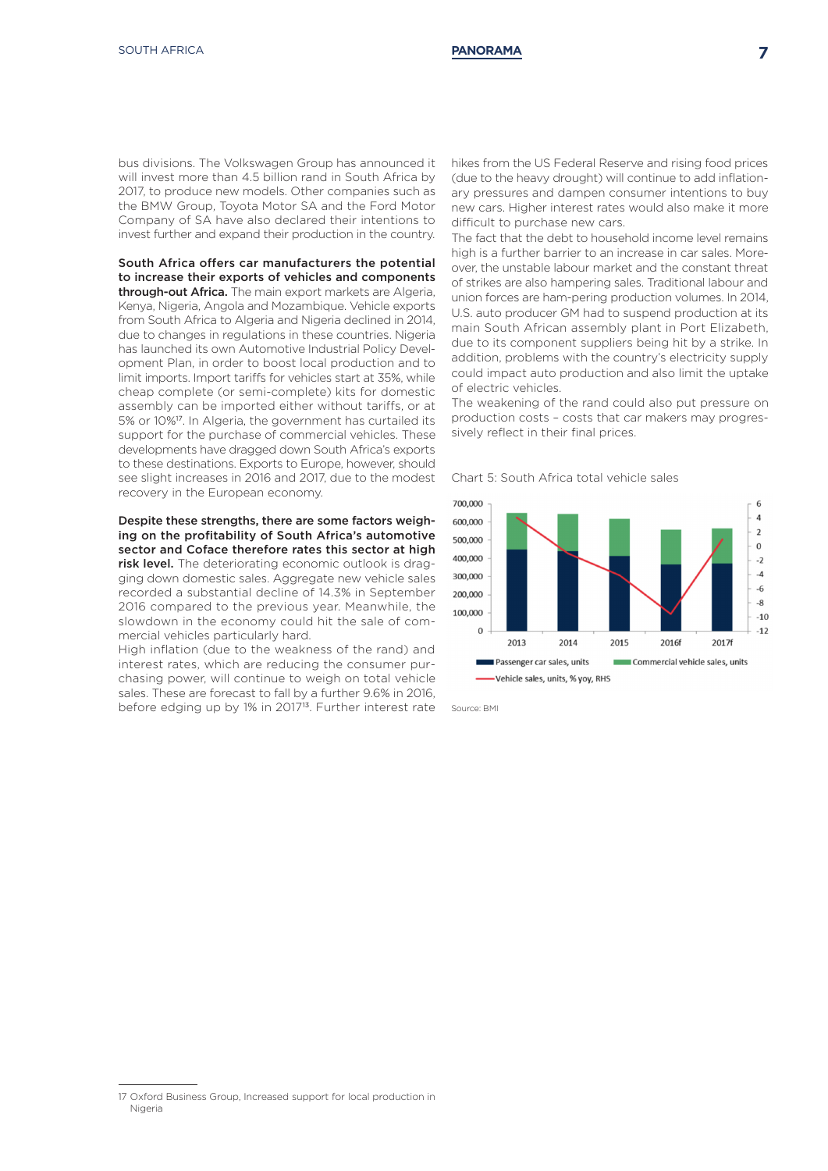bus divisions. The Volkswagen Group has announced it will invest more than 4.5 billion rand in South Africa by 2017, to produce new models. Other companies such as the BMW Group, Toyota Motor SA and the Ford Motor Company of SA have also declared their intentions to invest further and expand their production in the country.

South Africa offers car manufacturers the potential to increase their exports of vehicles and components through-out Africa. The main export markets are Algeria, Kenya, Nigeria, Angola and Mozambique. Vehicle exports from South Africa to Algeria and Nigeria declined in 2014, due to changes in regulations in these countries. Nigeria has launched its own Automotive Industrial Policy Development Plan, in order to boost local production and to limit imports. Import tariffs for vehicles start at 35%, while cheap complete (or semi-complete) kits for domestic assembly can be imported either without tariffs, or at 5% or 10%17. In Algeria, the government has curtailed its support for the purchase of commercial vehicles. These developments have dragged down South Africa's exports to these destinations. Exports to Europe, however, should see slight increases in 2016 and 2017, due to the modest recovery in the European economy.

Despite these strengths, there are some factors weighing on the profitability of South Africa's automotive sector and Coface therefore rates this sector at high risk level. The deteriorating economic outlook is dragging down domestic sales. Aggregate new vehicle sales recorded a substantial decline of 14.3% in September 2016 compared to the previous year. Meanwhile, the slowdown in the economy could hit the sale of com-

mercial vehicles particularly hard. High inflation (due to the weakness of the rand) and interest rates, which are reducing the consumer purchasing power, will continue to weigh on total vehicle sales. These are forecast to fall by a further 9.6% in 2016, before edging up by 1% in 2017<sup>13</sup>. Further interest rate

hikes from the US Federal Reserve and rising food prices (due to the heavy drought) will continue to add inflationary pressures and dampen consumer intentions to buy new cars. Higher interest rates would also make it more difficult to purchase new cars.

The fact that the debt to household income level remains high is a further barrier to an increase in car sales. Moreover, the unstable labour market and the constant threat of strikes are also hampering sales. Traditional labour and union forces are ham-pering production volumes. In 2014, U.S. auto producer GM had to suspend production at its main South African assembly plant in Port Elizabeth, due to its component suppliers being hit by a strike. In addition, problems with the country's electricity supply could impact auto production and also limit the uptake of electric vehicles.

The weakening of the rand could also put pressure on production costs – costs that car makers may progressively reflect in their final prices.

Chart 5: South Africa total vehicle sales



Source: BMI

<sup>17</sup> Oxford Business Group, Increased support for local production in Nigeria